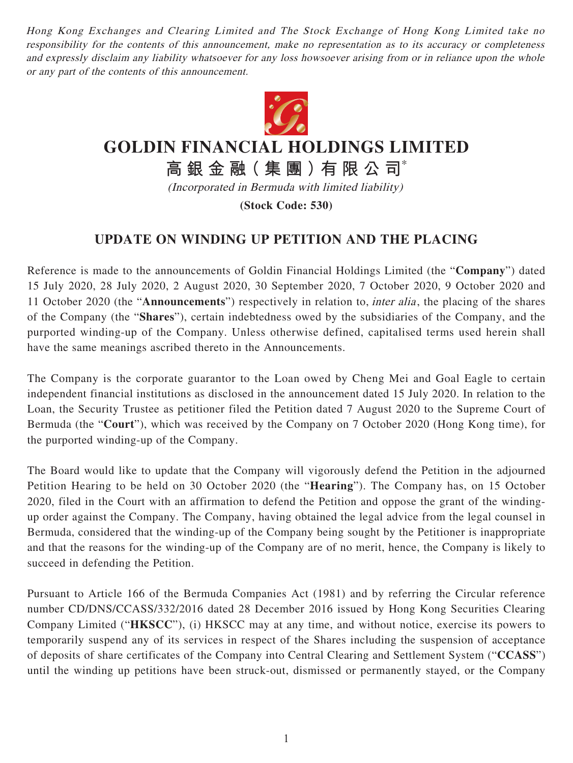Hong Kong Exchanges and Clearing Limited and The Stock Exchange of Hong Kong Limited take no responsibility for the contents of this announcement, make no representation as to its accuracy or completeness and expressly disclaim any liability whatsoever for any loss howsoever arising from or in reliance upon the whole or any part of the contents of this announcement.



## **GOLDIN FINANCIAL HOLDINGS LIMITED**

**高 銀 金 融( 集 團 )有 限 公 司**\*

(Incorporated in Bermuda with limited liability)

**(Stock Code: 530)**

## **UPDATE ON WINDING UP PETITION AND THE PLACING**

Reference is made to the announcements of Goldin Financial Holdings Limited (the "**Company**") dated 15 July 2020, 28 July 2020, 2 August 2020, 30 September 2020, 7 October 2020, 9 October 2020 and 11 October 2020 (the "**Announcements**") respectively in relation to, inter alia , the placing of the shares of the Company (the "**Shares**"), certain indebtedness owed by the subsidiaries of the Company, and the purported winding-up of the Company. Unless otherwise defined, capitalised terms used herein shall have the same meanings ascribed thereto in the Announcements.

The Company is the corporate guarantor to the Loan owed by Cheng Mei and Goal Eagle to certain independent financial institutions as disclosed in the announcement dated 15 July 2020. In relation to the Loan, the Security Trustee as petitioner filed the Petition dated 7 August 2020 to the Supreme Court of Bermuda (the "**Court**"), which was received by the Company on 7 October 2020 (Hong Kong time), for the purported winding-up of the Company.

The Board would like to update that the Company will vigorously defend the Petition in the adjourned Petition Hearing to be held on 30 October 2020 (the "**Hearing**"). The Company has, on 15 October 2020, filed in the Court with an affirmation to defend the Petition and oppose the grant of the windingup order against the Company. The Company, having obtained the legal advice from the legal counsel in Bermuda, considered that the winding-up of the Company being sought by the Petitioner is inappropriate and that the reasons for the winding-up of the Company are of no merit, hence, the Company is likely to succeed in defending the Petition.

Pursuant to Article 166 of the Bermuda Companies Act (1981) and by referring the Circular reference number CD/DNS/CCASS/332/2016 dated 28 December 2016 issued by Hong Kong Securities Clearing Company Limited ("**HKSCC**"), (i) HKSCC may at any time, and without notice, exercise its powers to temporarily suspend any of its services in respect of the Shares including the suspension of acceptance of deposits of share certificates of the Company into Central Clearing and Settlement System ("**CCASS**") until the winding up petitions have been struck-out, dismissed or permanently stayed, or the Company